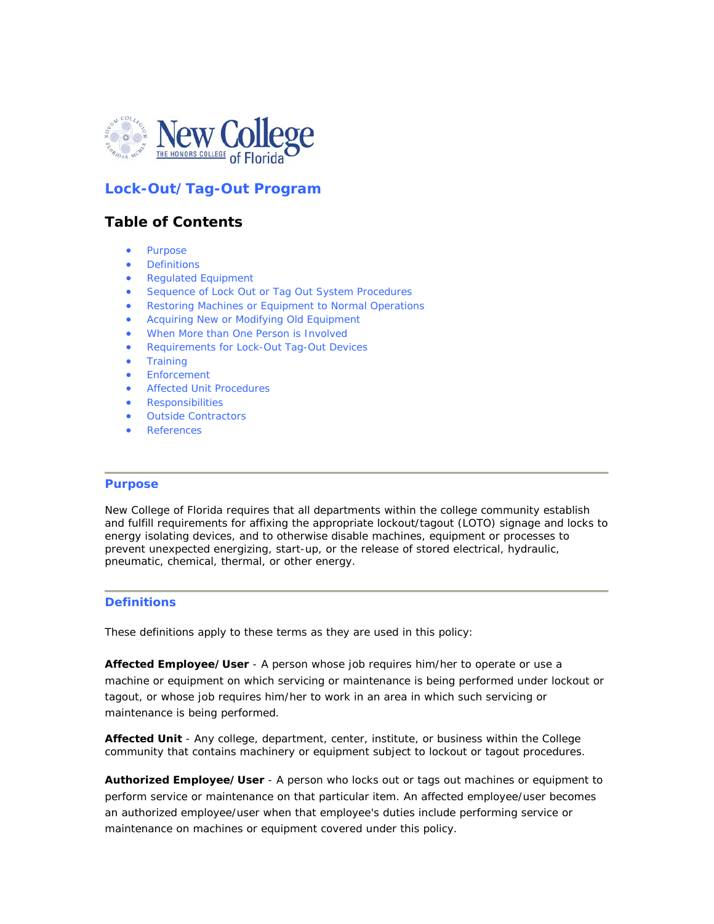

# **Lock-Out/Tag-Out Program**

# **Table of Contents**

- **Purpose**
- **Definitions**
- Regulated Equipment
- Sequence of Lock Out or Tag Out System Procedures
- Restoring Machines or Equipment to Normal Operations
- Acquiring New or Modifying Old Equipment
- When More than One Person is Involved
- Requirements for Lock-Out Tag-Out Devices
- **Training**
- **Enforcement**
- Affected Unit Procedures
- Responsibilities
- Outside Contractors
- **References**

### **Purpose**

New College of Florida requires that all departments within the college community establish and fulfill requirements for affixing the appropriate lockout/tagout (LOTO) signage and locks to energy isolating devices, and to otherwise disable machines, equipment or processes to prevent unexpected energizing, start-up, or the release of stored electrical, hydraulic, pneumatic, chemical, thermal, or other energy.

### **Definitions**

These definitions apply to these terms as they are used in this policy:

**Affected Employee/User** - A person whose job requires him/her to operate or use a machine or equipment on which servicing or maintenance is being performed under lockout or tagout, or whose job requires him/her to work in an area in which such servicing or maintenance is being performed.

**Affected Unit** - Any college, department, center, institute, or business within the College community that contains machinery or equipment subject to lockout or tagout procedures.

**Authorized Employee/User** - A person who locks out or tags out machines or equipment to perform service or maintenance on that particular item. An affected employee/user becomes an authorized employee/user when that employee's duties include performing service or maintenance on machines or equipment covered under this policy.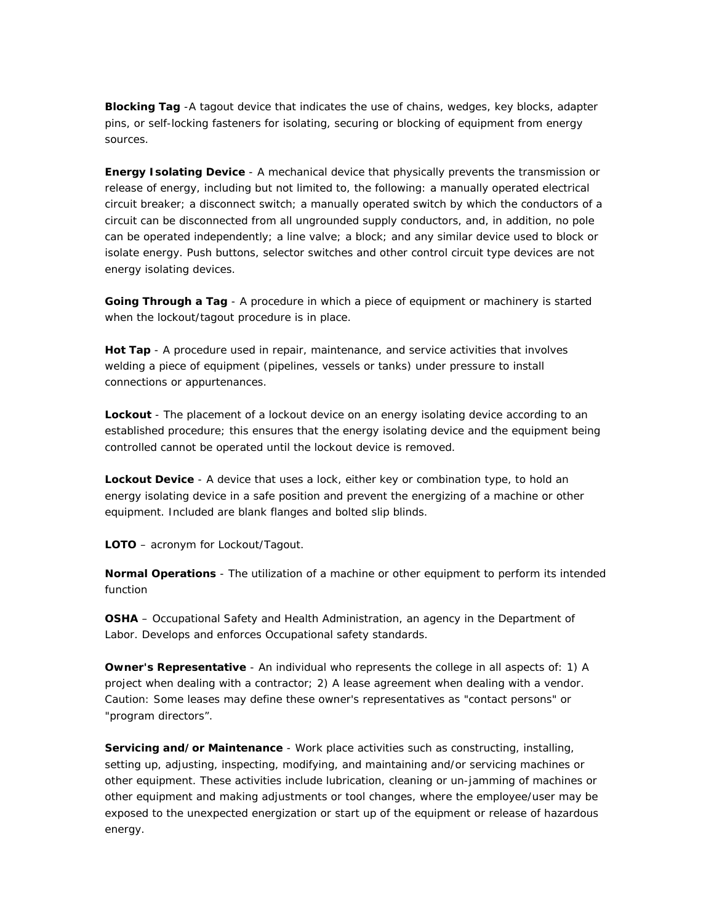**Blocking Tag** -A tagout device that indicates the use of chains, wedges, key blocks, adapter pins, or self-locking fasteners for isolating, securing or blocking of equipment from energy sources.

**Energy Isolating Device** - A mechanical device that physically prevents the transmission or release of energy, including but not limited to, the following: a manually operated electrical circuit breaker; a disconnect switch; a manually operated switch by which the conductors of a circuit can be disconnected from all ungrounded supply conductors, and, in addition, no pole can be operated independently; a line valve; a block; and any similar device used to block or isolate energy. Push buttons, selector switches and other control circuit type devices are not energy isolating devices.

**Going Through a Tag** - A procedure in which a piece of equipment or machinery is started when the lockout/tagout procedure is in place.

**Hot Tap** - A procedure used in repair, maintenance, and service activities that involves welding a piece of equipment (pipelines, vessels or tanks) under pressure to install connections or appurtenances.

**Lockout** - The placement of a lockout device on an energy isolating device according to an established procedure; this ensures that the energy isolating device and the equipment being controlled cannot be operated until the lockout device is removed.

**Lockout Device** - A device that uses a lock, either key or combination type, to hold an energy isolating device in a safe position and prevent the energizing of a machine or other equipment. Included are blank flanges and bolted slip blinds.

**LOTO** – acronym for Lockout/Tagout.

**Normal Operations** - The utilization of a machine or other equipment to perform its intended function

**OSHA** – Occupational Safety and Health Administration, an agency in the Department of Labor. Develops and enforces Occupational safety standards.

**Owner's Representative** - An individual who represents the college in all aspects of: 1) A project when dealing with a contractor; 2) A lease agreement when dealing with a vendor. Caution: Some leases may define these owner's representatives as "contact persons" or "program directors".

**Servicing and/or Maintenance** - Work place activities such as constructing, installing, setting up, adjusting, inspecting, modifying, and maintaining and/or servicing machines or other equipment. These activities include lubrication, cleaning or un-jamming of machines or other equipment and making adjustments or tool changes, where the employee/user may be exposed to the unexpected energization or start up of the equipment or release of hazardous energy.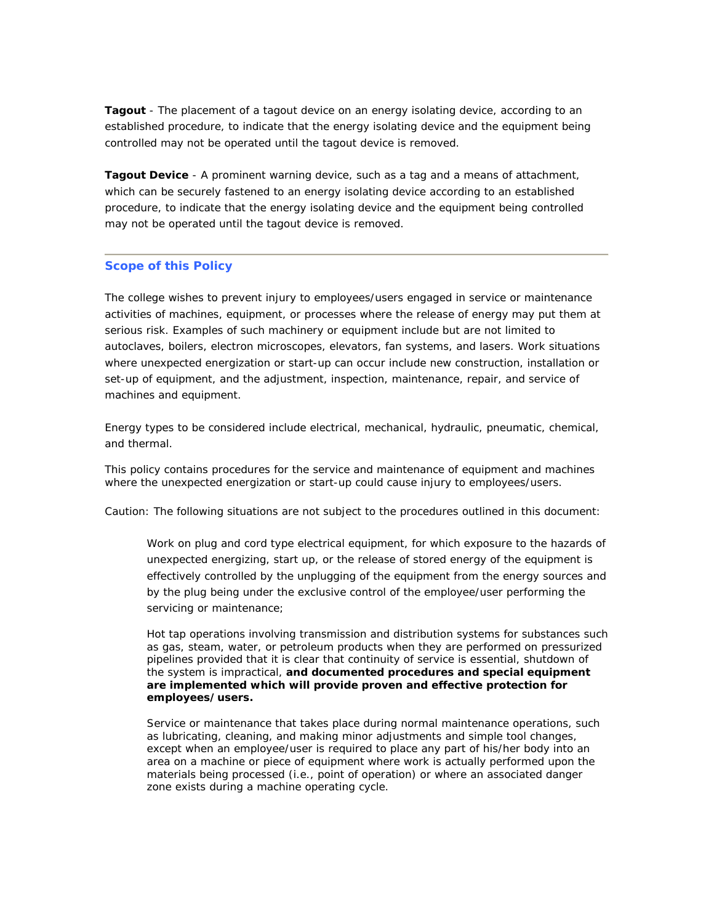**Tagout** - The placement of a tagout device on an energy isolating device, according to an established procedure, to indicate that the energy isolating device and the equipment being controlled may not be operated until the tagout device is removed.

**Tagout Device** - A prominent warning device, such as a tag and a means of attachment, which can be securely fastened to an energy isolating device according to an established procedure, to indicate that the energy isolating device and the equipment being controlled may not be operated until the tagout device is removed.

### **Scope of this Policy**

The college wishes to prevent injury to employees/users engaged in service or maintenance activities of machines, equipment, or processes where the release of energy may put them at serious risk. Examples of such machinery or equipment include but are not limited to autoclaves, boilers, electron microscopes, elevators, fan systems, and lasers. Work situations where unexpected energization or start-up can occur include new construction, installation or set-up of equipment, and the adjustment, inspection, maintenance, repair, and service of machines and equipment.

Energy types to be considered include electrical, mechanical, hydraulic, pneumatic, chemical, and thermal.

This policy contains procedures for the service and maintenance of equipment and machines where the unexpected energization or start-up could cause injury to employees/users.

Caution: The following situations are not subject to the procedures outlined in this document:

Work on plug and cord type electrical equipment, for which exposure to the hazards of unexpected energizing, start up, or the release of stored energy of the equipment is effectively controlled by the unplugging of the equipment from the energy sources and by the plug being under the exclusive control of the employee/user performing the servicing or maintenance;

Hot tap operations involving transmission and distribution systems for substances such as gas, steam, water, or petroleum products when they are performed on pressurized pipelines provided that it is clear that continuity of service is essential, shutdown of the system is impractical, *and documented procedures and special equipment are implemented which will provide proven and effective protection for employees/users.*

Service or maintenance that takes place during normal maintenance operations, such as lubricating, cleaning, and making minor adjustments and simple tool changes, except when an employee/user is required to place any part of his/her body into an area on a machine or piece of equipment where work is actually performed upon the materials being processed (i.e., point of operation) or where an associated danger zone exists during a machine operating cycle.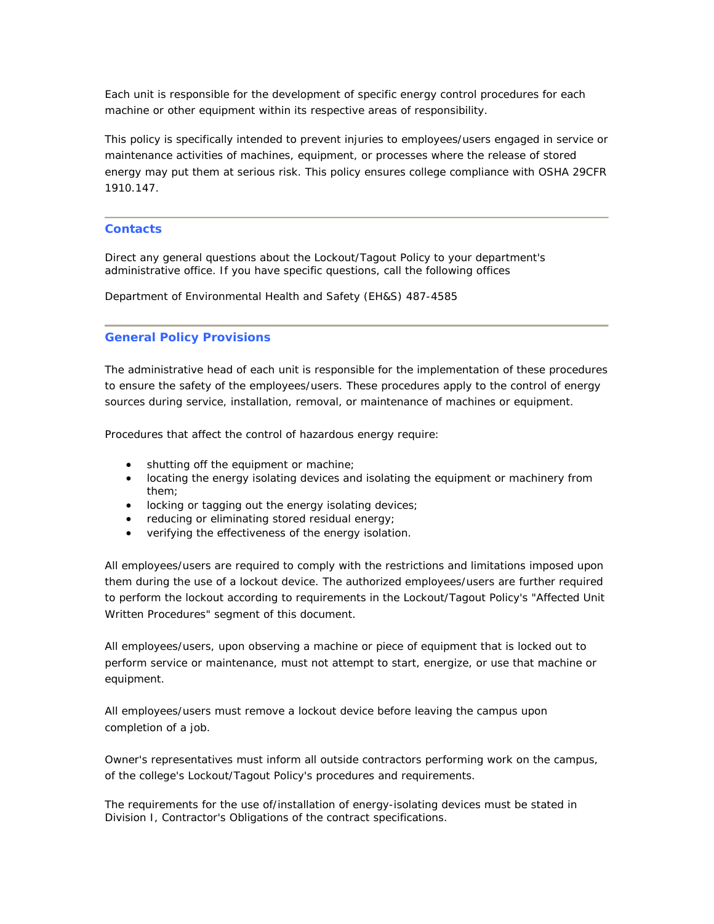Each unit is responsible for the development of specific energy control procedures for each machine or other equipment within its respective areas of responsibility.

This policy is specifically intended to prevent injuries to employees/users engaged in service or maintenance activities of machines, equipment, or processes where the release of stored energy may put them at serious risk. This policy ensures college compliance with OSHA 29CFR 1910.147.

#### **Contacts**

Direct any general questions about the Lockout/Tagout Policy to your department's administrative office. If you have specific questions, call the following offices

Department of Environmental Health and Safety (EH&S) 487-4585

### **General Policy Provisions**

The administrative head of each unit is responsible for the implementation of these procedures to ensure the safety of the employees/users. These procedures apply to the control of energy sources during service, installation, removal, or maintenance of machines or equipment.

Procedures that affect the control of hazardous energy require:

- shutting off the equipment or machine;
- locating the energy isolating devices and isolating the equipment or machinery from them;
- locking or tagging out the energy isolating devices;
- reducing or eliminating stored residual energy;
- verifying the effectiveness of the energy isolation.

All employees/users are required to comply with the restrictions and limitations imposed upon them during the use of a lockout device. The authorized employees/users are further required to perform the lockout according to requirements in the Lockout/Tagout Policy's "Affected Unit Written Procedures" segment of this document.

All employees/users, upon observing a machine or piece of equipment that is locked out to perform service or maintenance, must not attempt to start, energize, or use that machine or equipment.

All employees/users must remove a lockout device before leaving the campus upon completion of a job.

Owner's representatives must inform all outside contractors performing work on the campus, of the college's Lockout/Tagout Policy's procedures and requirements.

The requirements for the use of/installation of energy-isolating devices must be stated in Division I, Contractor's Obligations of the contract specifications.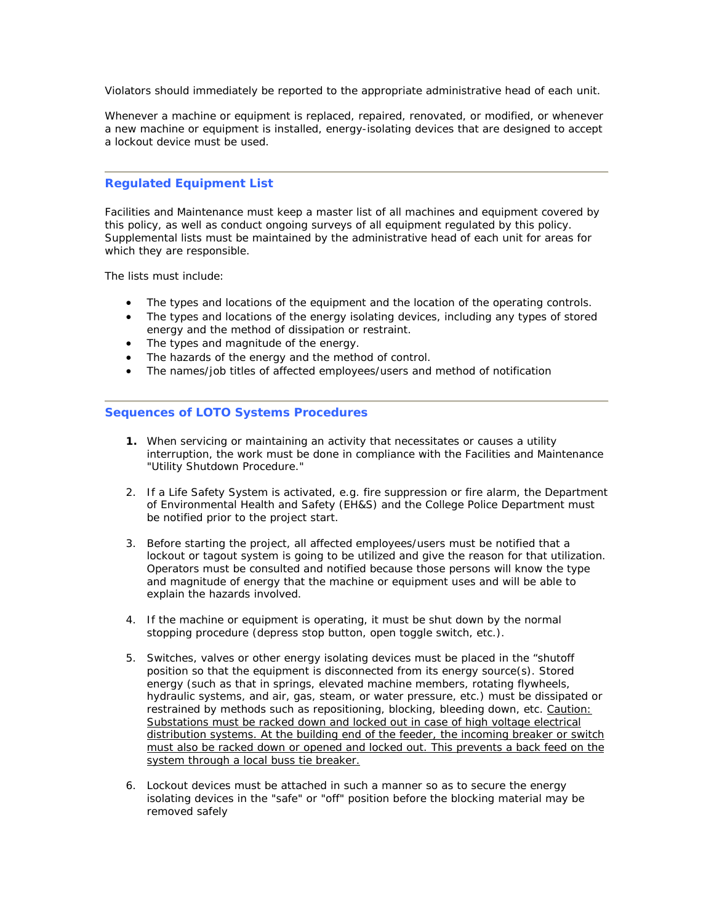Violators should immediately be reported to the appropriate administrative head of each unit.

Whenever a machine or equipment is replaced, repaired, renovated, or modified, or whenever a new machine or equipment is installed, energy-isolating devices that are designed to accept a lockout device must be used.

# **Regulated Equipment List**

Facilities and Maintenance must keep a master list of all machines and equipment covered by this policy, as well as conduct ongoing surveys of all equipment regulated by this policy. Supplemental lists must be maintained by the administrative head of each unit for areas for which they are responsible.

The lists must include:

- The types and locations of the equipment and the location of the operating controls.
- The types and locations of the energy isolating devices, including any types of stored energy and the method of dissipation or restraint.
- The types and magnitude of the energy.
- The hazards of the energy and the method of control.
- The names/job titles of affected employees/users and method of notification

# **Sequences of LOTO Systems Procedures**

- **1.** When servicing or maintaining an activity that necessitates or causes a utility interruption, the work must be done in compliance with the Facilities and Maintenance "Utility Shutdown Procedure."
- 2. If a Life Safety System is activated, e.g. fire suppression or fire alarm, the Department of Environmental Health and Safety (EH&S) and the College Police Department must be notified prior to the project start.
- 3. Before starting the project, all affected employees/users must be notified that a lockout or tagout system is going to be utilized and give the reason for that utilization. Operators must be consulted and notified because those persons will know the type and magnitude of energy that the machine or equipment uses and will be able to explain the hazards involved.
- 4. If the machine or equipment is operating, it must be shut down by the normal stopping procedure (depress stop button, open toggle switch, etc.).
- *5.* Switches, valves or other energy isolating devices must be placed in the "shutoff position so that the equipment is disconnected from its energy source(s). Stored energy (such as that in springs, elevated machine members, rotating flywheels, hydraulic systems, and air, gas, steam, or water pressure, etc.) must be dissipated or restrained by methods such as repositioning, blocking, bleeding down, etc. *Caution: Substations must be racked down and locked out in case of high voltage electrical distribution systems. At the building end of the feeder, the incoming breaker or switch must also be racked down or opened and locked out. This prevents a back feed on the system through a local buss tie breaker.*
- 6. Lockout devices must be attached in such a manner so as to secure the energy isolating devices in the "safe" or "off" position before the blocking material may be removed safely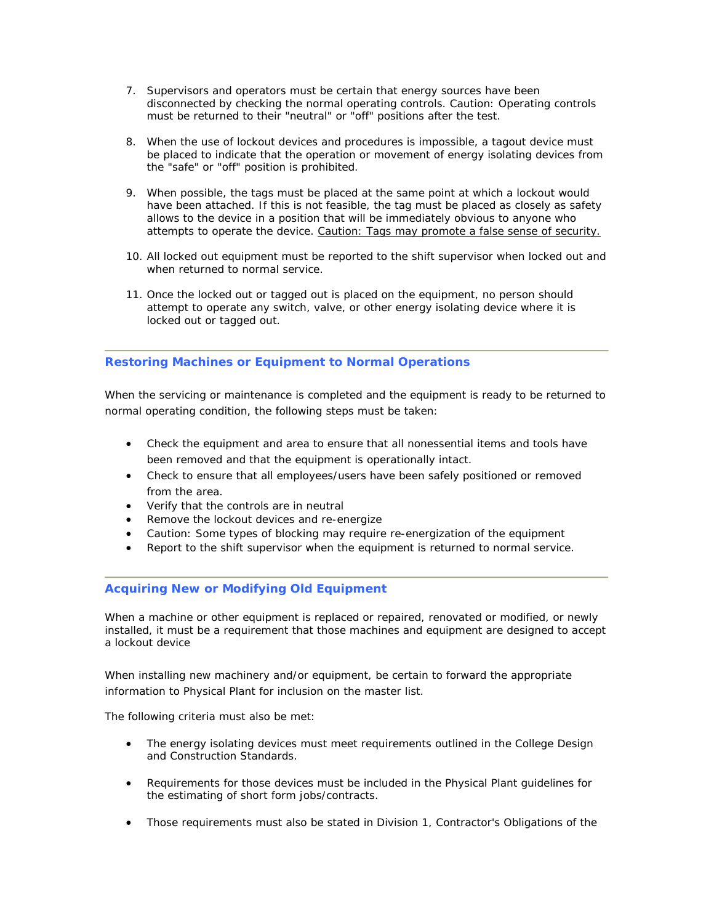- 7. Supervisors and operators must be certain that energy sources have been disconnected by checking the normal operating controls. Caution: Operating controls must be returned to their "neutral" or "off" positions after the test.
- 8. When the use of lockout devices and procedures is impossible, a tagout device must be placed to indicate that the operation or movement of energy isolating devices from the "safe" or "off" position is prohibited.
- 9. When possible, the tags must be placed at the same point at which a lockout would have been attached. If this is not feasible, the tag must be placed as closely as safety allows to the device in a position that will be immediately obvious to anyone who attempts to operate the device. *Caution: Tags may promote a false sense of security.*
- 10. All locked out equipment must be reported to the shift supervisor when locked out and when returned to normal service.
- 11. Once the locked out or tagged out is placed on the equipment, no person should attempt to operate any switch, valve, or other energy isolating device where it is locked out or tagged out.

# **Restoring Machines or Equipment to Normal Operations**

When the servicing or maintenance is completed and the equipment is ready to be returned to normal operating condition, the following steps must be taken:

- Check the equipment and area to ensure that all nonessential items and tools have been removed and that the equipment is operationally intact.
- Check to ensure that all employees/users have been safely positioned or removed from the area.
- Verify that the controls are in neutral
- Remove the lockout devices and re-energize
- Caution: Some types of blocking may require re-energization of the equipment
- Report to the shift supervisor when the equipment is returned to normal service.

# **Acquiring New or Modifying Old Equipment**

When a machine or other equipment is replaced or repaired, renovated or modified, or newly installed, it must be a requirement that those machines and equipment are designed to accept a lockout device

When installing new machinery and/or equipment, be certain to forward the appropriate information to Physical Plant for inclusion on the master list.

The following criteria must also be met:

- The energy isolating devices must meet requirements outlined in the College Design and Construction Standards.
- Requirements for those devices must be included in the Physical Plant guidelines for the estimating of short form jobs/contracts.
- Those requirements must also be stated in Division 1, Contractor's Obligations of the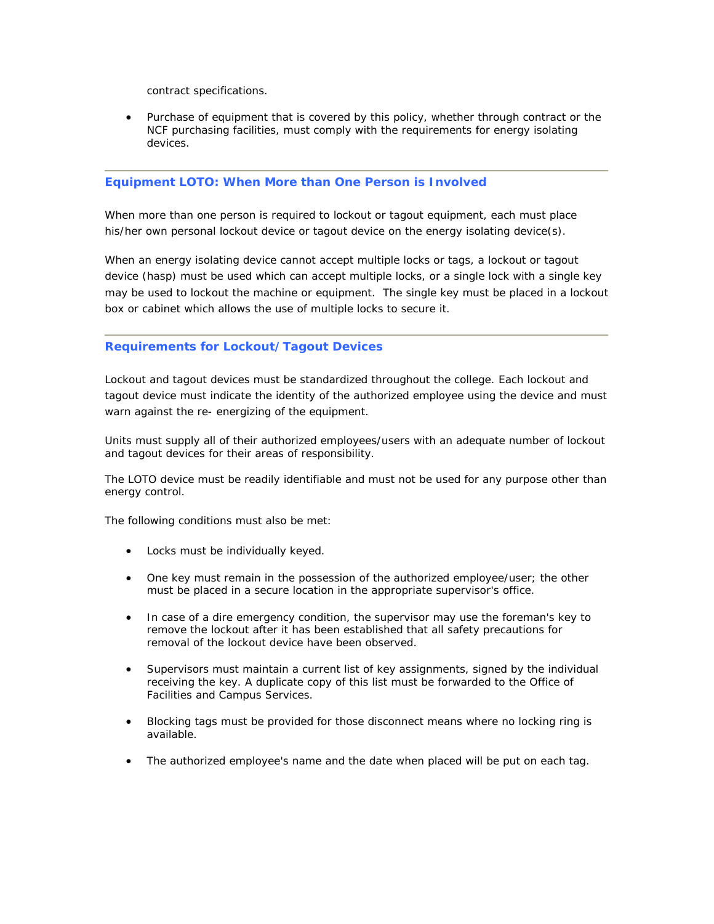contract specifications.

• Purchase of equipment that is covered by this policy, whether through contract or the NCF purchasing facilities, must comply with the requirements for energy isolating devices.

# **Equipment LOTO: When More than One Person is Involved**

When more than one person is required to lockout or tagout equipment, each must place his/her own personal lockout device or tagout device on the energy isolating device(s).

When an energy isolating device cannot accept multiple locks or tags, a lockout or tagout device (hasp) must be used which can accept multiple locks, or a single lock with a single key may be used to lockout the machine or equipment. The single key must be placed in a lockout box or cabinet which allows the use of multiple locks to secure it.

### **Requirements for Lockout/Tagout Devices**

Lockout and tagout devices must be standardized throughout the college. Each lockout and tagout device must indicate the identity of the authorized employee using the device and must warn against the re- energizing of the equipment.

Units must supply all of their authorized employees/users with an adequate number of lockout and tagout devices for their areas of responsibility.

The LOTO device must be readily identifiable and must not be used for any purpose other than energy control.

The following conditions must also be met:

- Locks must be individually keyed.
- One key must remain in the possession of the authorized employee/user; the other must be placed in a secure location in the appropriate supervisor's office.
- In case of a dire emergency condition, the supervisor may use the foreman's key to remove the lockout after it has been established that all safety precautions for removal of the lockout device have been observed.
- Supervisors must maintain a current list of key assignments, signed by the individual receiving the key. A duplicate copy of this list must be forwarded to the Office of Facilities and Campus Services.
- Blocking tags must be provided for those disconnect means where no locking ring is available.
- The authorized employee's name and the date when placed will be put on each tag.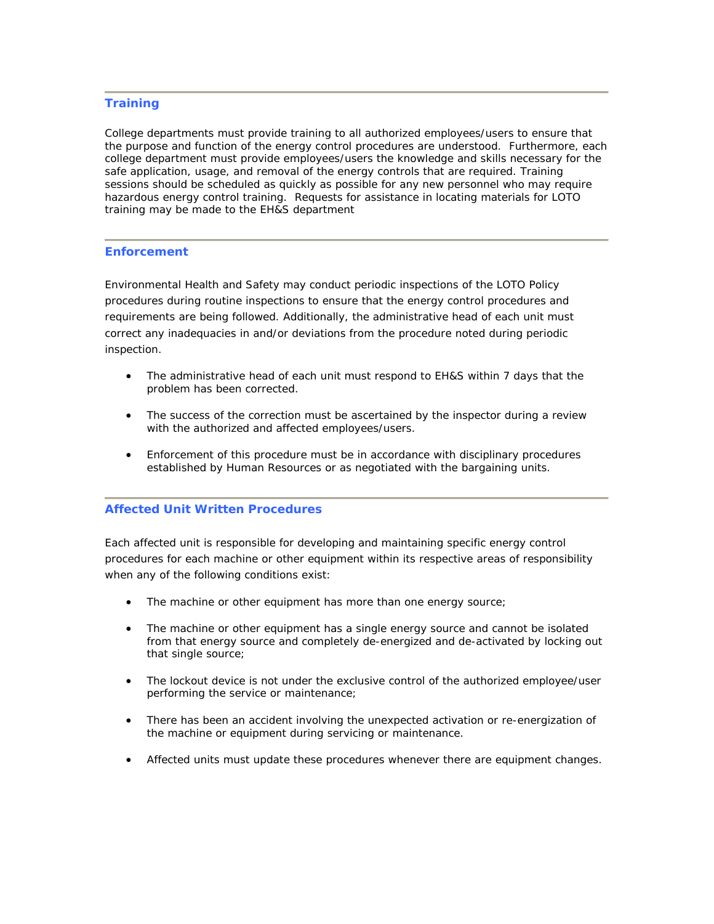# **Training**

College departments must provide training to all authorized employees/users to ensure that the purpose and function of the energy control procedures are understood. Furthermore, each college department must provide employees/users the knowledge and skills necessary for the safe application, usage, and removal of the energy controls that are required. Training sessions should be scheduled as quickly as possible for any new personnel who may require hazardous energy control training. Requests for assistance in locating materials for LOTO training may be made to the EH&S department

### **Enforcement**

Environmental Health and Safety may conduct periodic inspections of the LOTO Policy procedures during routine inspections to ensure that the energy control procedures and requirements are being followed. Additionally, the administrative head of each unit must correct any inadequacies in and/or deviations from the procedure noted during periodic inspection.

- The administrative head of each unit must respond to EH&S within 7 days that the problem has been corrected.
- The success of the correction must be ascertained by the inspector during a review with the authorized and affected employees/users.
- Enforcement of this procedure must be in accordance with disciplinary procedures established by Human Resources or as negotiated with the bargaining units.

# **Affected Unit Written Procedures**

Each affected unit is responsible for developing and maintaining specific energy control procedures for each machine or other equipment within its respective areas of responsibility when any of the following conditions exist:

- The machine or other equipment has more than one energy source;
- The machine or other equipment has a single energy source and cannot be isolated from that energy source and completely de-energized and de-activated by locking out that single source;
- The lockout device is not under the exclusive control of the authorized employee/user performing the service or maintenance;
- There has been an accident involving the unexpected activation or re-energization of the machine or equipment during servicing or maintenance.
- Affected units must update these procedures whenever there are equipment changes.